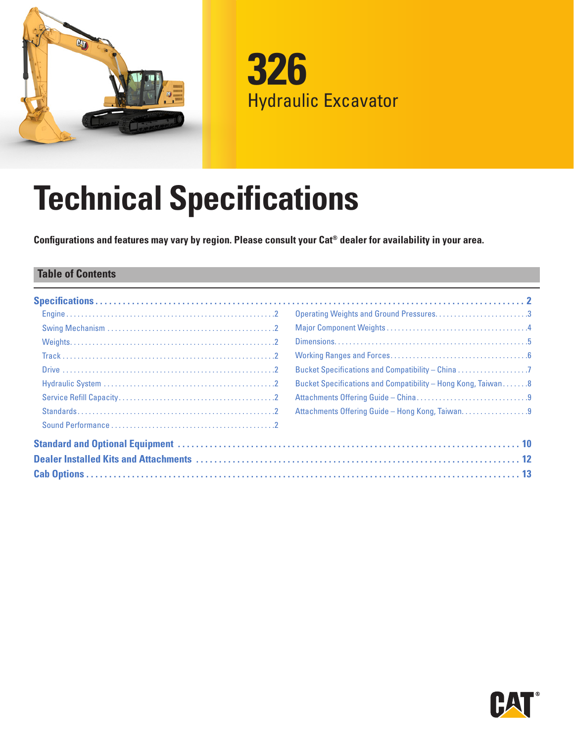

**326** Hydraulic Excavator

# **Technical Specifications**

**Configurations and features may vary by region. Please consult your Cat® dealer for availability in your area.**

## **Table of Contents**

| Operating Weights and Ground Pressures3                      |
|--------------------------------------------------------------|
|                                                              |
|                                                              |
|                                                              |
|                                                              |
| Bucket Specifications and Compatibility - Hong Kong, Taiwan8 |
|                                                              |
| Attachments Offering Guide - Hong Kong, Taiwan9              |
|                                                              |
|                                                              |
|                                                              |
|                                                              |

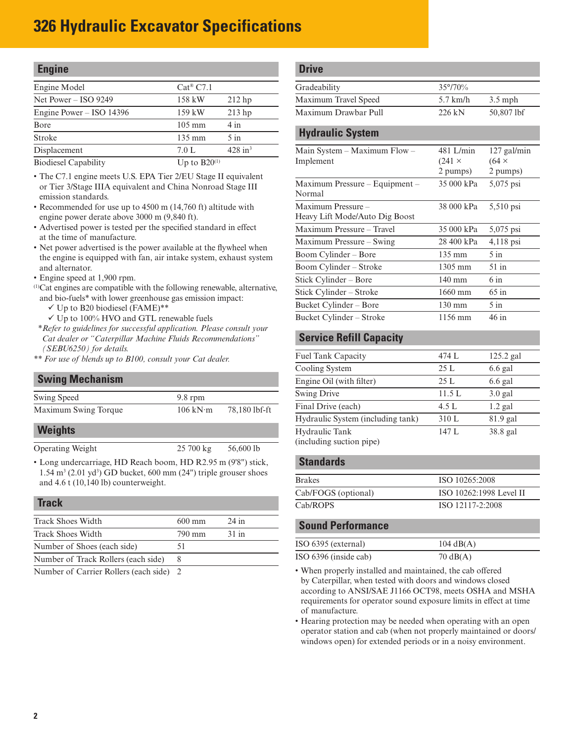# <span id="page-1-0"></span>**326 Hydraulic Excavator Specifications**

| <b>Engine</b>                                                                                                   |                                                                                |                       |
|-----------------------------------------------------------------------------------------------------------------|--------------------------------------------------------------------------------|-----------------------|
| Engine Model                                                                                                    | $Cat^{\circledast}$ C7.1                                                       |                       |
| Net Power $-$ ISO 9249                                                                                          | 158 kW                                                                         | $212$ hp              |
| Engine Power – ISO 14396                                                                                        | 159 kW                                                                         | $213$ hp              |
| Bore                                                                                                            | $105 \text{ mm}$                                                               | 4 in                  |
| Stroke                                                                                                          | 135 mm                                                                         | $5$ in                |
| Displacement                                                                                                    | 7.0 L                                                                          | $428$ in <sup>3</sup> |
| $\mathbf{D}_{\text{new}}^{\text{max}}$ and $\mathbf{C}_{\text{new}}$ and $\mathbf{D}_{\text{new}}^{\text{max}}$ | $T_{\text{max}}$ $\lambda \approx \mathbf{D} \mathbf{D} \mathbf{D} \mathbf{D}$ |                       |

Biodiesel Capability  $U_p$  to B20<sup>(1)</sup>

- The C7.1 engine meets U.S. EPA Tier 2/EU Stage II equivalent or Tier 3/Stage IIIA equivalent and China Nonroad Stage III emission standards.
- Recommended for use up to 4500 m (14,760 ft) altitude with engine power derate above 3000 m (9,840 ft).
- Advertised power is tested per the specified standard in effect at the time of manufacture.
- Net power advertised is the power available at the flywheel when the engine is equipped with fan, air intake system, exhaust system and alternator.
- Engine speed at 1,900 rpm.
- (1)Cat engines are compatible with the following renewable, alternative, and bio-fuels\* with lower greenhouse gas emission impact:
	- $\checkmark$  Up to B20 biodiesel (FAME)\*\*
	- $\checkmark$  Up to 100% HVO and GTL renewable fuels
- *\*Refer to guidelines for successful application. Please consult your Cat dealer or "Caterpillar Machine Fluids Recommendations" (SEBU6250) for details.*
- *\*\* For use of blends up to B100, consult your Cat dealer.*

### **Swing Mechanism**

| Swing Speed                                                                                                                                                 | $9.8$ rpm                       |               |
|-------------------------------------------------------------------------------------------------------------------------------------------------------------|---------------------------------|---------------|
| Maximum Swing Torque                                                                                                                                        | $106 \text{ kN} \cdot \text{m}$ | 78,180 lbf-ft |
| <b>Weights</b>                                                                                                                                              |                                 |               |
| Operating Weight                                                                                                                                            | $25700 \text{ kg}$              | 56,600 lb     |
| • Long undercarriage, HD Reach boom, HD R2.95 m (9'8") stick,<br>$1.54$ m <sup>3</sup> (2.01 yd <sup>3</sup> ) GD bucket, 600 mm (24") triple grouser shoes |                                 |               |

and 4.6 t (10,140 lb) counterweight.

## **Track**

| <b>Track Shoes Width</b>                | $600 \text{ mm}$ | $24$ in |  |
|-----------------------------------------|------------------|---------|--|
| <b>Track Shoes Width</b>                | 790 mm           | $31$ in |  |
| Number of Shoes (each side)             | 51               |         |  |
| Number of Track Rollers (each side)     |                  |         |  |
| Number of Carrier Rollers (each side) 2 |                  |         |  |

## **Drive**

| Gradeability         | $35^{\circ}/70\%$ |            |
|----------------------|-------------------|------------|
| Maximum Travel Speed | $5.7$ km/h        | $3.5$ mph  |
| Maximum Drawbar Pull | 226 kN            | 50,807 lbf |

## **Hydraulic System**

| Main System $-$ Maximum Flow $-$ | 481 L/min        | $127$ gal/min |
|----------------------------------|------------------|---------------|
| Implement                        | $(241 \times$    | $(64 \times$  |
|                                  | 2 pumps)         | 2 pumps)      |
| Maximum Pressure - Equipment -   | 35 000 kPa       | 5,075 psi     |
| Normal                           |                  |               |
| Maximum Pressure -               | 38 000 kPa       | 5,510 psi     |
| Heavy Lift Mode/Auto Dig Boost   |                  |               |
| Maximum Pressure - Travel        | 35 000 kPa       | 5,075 psi     |
| Maximum Pressure - Swing         | 28 400 kPa       | $4,118$ psi   |
| Boom Cylinder – Bore             | $135 \text{ mm}$ | $5$ in        |
| Boom Cylinder – Stroke           | $1305$ mm        | 51 in         |
| Stick Cylinder – Bore            | $140 \text{ mm}$ | $6 \infty$    |
| Stick Cylinder – Stroke          | 1660 mm          | $65$ in       |
| Bucket Cylinder – Bore           | $130 \text{ mm}$ | $5$ in        |
| Bucket Cylinder – Stroke         | 1156 mm          | $46$ in       |

## **Service Refill Capacity**

| Fuel Tank Capacity                | 474 L  | $125.2$ gal |  |
|-----------------------------------|--------|-------------|--|
| Cooling System                    | 25 L   | $6.6$ gal   |  |
| Engine Oil (with filter)          | 25L    | $6.6$ gal   |  |
| <b>Swing Drive</b>                | 11.5 L | $3.0$ gal   |  |
| Final Drive (each)                | 4.5 L  | $1.2$ gal   |  |
| Hydraulic System (including tank) | 310 L  | 81.9 gal    |  |
| Hydraulic Tank                    | 147 L  | 38.8 gal    |  |
| (including suction pipe)          |        |             |  |

## **Standards**

| ISO 10265:2008          |
|-------------------------|
| ISO 10262:1998 Level II |
| ISO 12117-2:2008        |
|                         |

## **Sound Performance**

| ISO 6395 (external)   | $104 \text{ dB}(A)$ |
|-----------------------|---------------------|
| ISO 6396 (inside cab) | $70 \text{ dB}(A)$  |

• When properly installed and maintained, the cab offered by Caterpillar, when tested with doors and windows closed according to ANSI/SAE J1166 OCT98, meets OSHA and MSHA requirements for operator sound exposure limits in effect at time of manufacture.

• Hearing protection may be needed when operating with an open operator station and cab (when not properly maintained or doors/ windows open) for extended periods or in a noisy environment.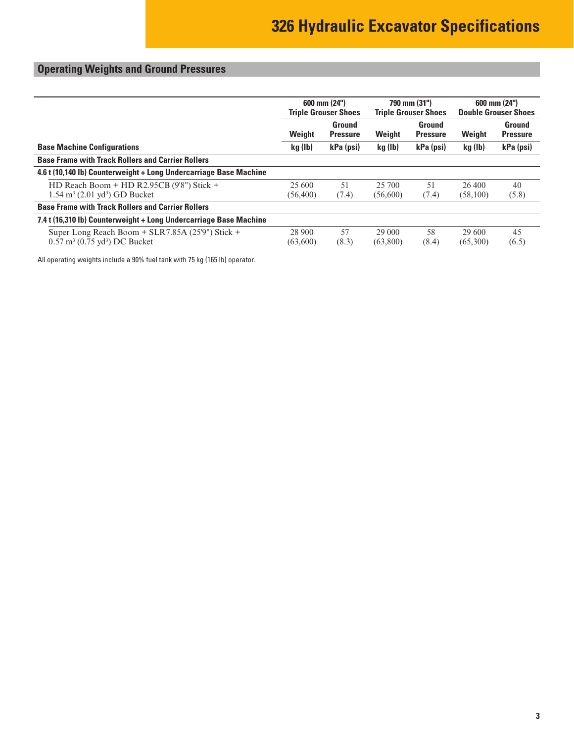# <span id="page-2-0"></span>**Operating Weights and Ground Pressures**

|                                                                                                          | $600$ mm $(24")$<br><b>Triple Grouser Shoes</b> |                           | 790 mm (31")<br><b>Triple Grouser Shoes</b> |                           | 600 mm (24")<br><b>Double Grouser Shoes</b> |                           |  |  |
|----------------------------------------------------------------------------------------------------------|-------------------------------------------------|---------------------------|---------------------------------------------|---------------------------|---------------------------------------------|---------------------------|--|--|
|                                                                                                          | Weight                                          | Ground<br><b>Pressure</b> | Weight                                      | Ground<br><b>Pressure</b> | Weight                                      | Ground<br><b>Pressure</b> |  |  |
| <b>Base Machine Configurations</b>                                                                       | kg (lb)                                         | kPa (psi)                 | kg (lb)                                     | kPa (psi)                 | kg (lb)                                     | kPa (psi)                 |  |  |
| <b>Base Frame with Track Rollers and Carrier Rollers</b>                                                 |                                                 |                           |                                             |                           |                                             |                           |  |  |
| 4.6 t (10,140 lb) Counterweight + Long Undercarriage Base Machine                                        |                                                 |                           |                                             |                           |                                             |                           |  |  |
| HD Reach Boom + HD R2.95CB (9'8") Stick +<br>$1.54 \text{ m}^3$ (2.01 yd <sup>3</sup> ) GD Bucket        | 25 600<br>(56, 400)                             | 51<br>(7.4)               | 25 700<br>(56,600)                          | 51<br>(7.4)               | 26,400<br>(58,100)                          | 40<br>(5.8)               |  |  |
| <b>Base Frame with Track Rollers and Carrier Rollers</b>                                                 |                                                 |                           |                                             |                           |                                             |                           |  |  |
| 7.4 t (16,310 lb) Counterweight + Long Undercarriage Base Machine                                        |                                                 |                           |                                             |                           |                                             |                           |  |  |
| Super Long Reach Boom + SLR7.85A (25'9") Stick +<br>$0.57 \text{ m}^3$ (0.75 yd <sup>3</sup> ) DC Bucket | 28 900<br>(63,600)                              | 57<br>(8.3)               | 29 000<br>(63,800)                          | 58<br>(8.4)               | 29 600<br>(65,300)                          | 45<br>(6.5)               |  |  |

All operating weights include a 90% fuel tank with 75 kg (165 lb) operator.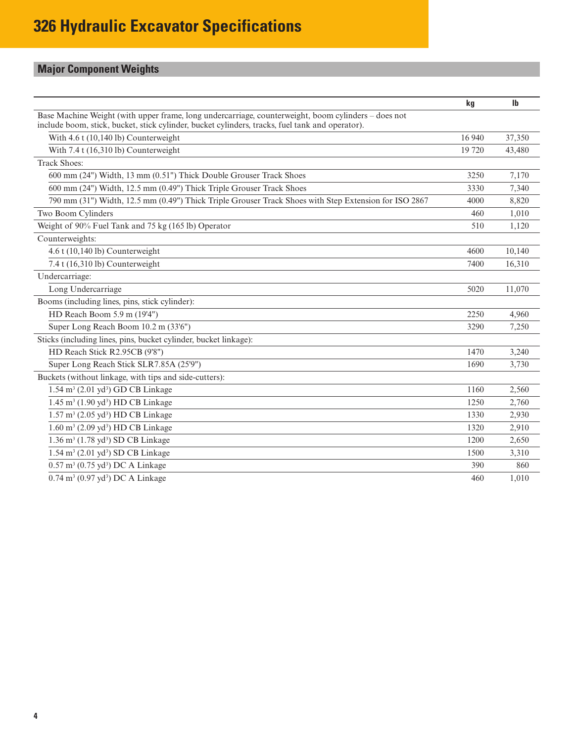# <span id="page-3-0"></span>**Major Component Weights**

|                                                                                                                                                                                                        | kg     | $\mathbf{I}$ |
|--------------------------------------------------------------------------------------------------------------------------------------------------------------------------------------------------------|--------|--------------|
| Base Machine Weight (with upper frame, long undercarriage, counterweight, boom cylinders – does not<br>include boom, stick, bucket, stick cylinder, bucket cylinders, tracks, fuel tank and operator). |        |              |
| With 4.6 t (10,140 lb) Counterweight                                                                                                                                                                   | 16 940 | 37,350       |
| With 7.4 t (16,310 lb) Counterweight                                                                                                                                                                   | 19 720 | 43,480       |
| <b>Track Shoes:</b>                                                                                                                                                                                    |        |              |
| 600 mm (24") Width, 13 mm (0.51") Thick Double Grouser Track Shoes                                                                                                                                     | 3250   | 7.170        |
| 600 mm (24") Width, 12.5 mm (0.49") Thick Triple Grouser Track Shoes                                                                                                                                   | 3330   | 7,340        |
| 790 mm (31") Width, 12.5 mm (0.49") Thick Triple Grouser Track Shoes with Step Extension for ISO 2867                                                                                                  | 4000   | 8,820        |
| Two Boom Cylinders                                                                                                                                                                                     | 460    | 1,010        |
| Weight of 90% Fuel Tank and 75 kg (165 lb) Operator                                                                                                                                                    | 510    | 1,120        |
| Counterweights:                                                                                                                                                                                        |        |              |
| 4.6 t (10,140 lb) Counterweight                                                                                                                                                                        | 4600   | 10,140       |
| 7.4 t (16,310 lb) Counterweight                                                                                                                                                                        | 7400   | 16,310       |
| Undercarriage:                                                                                                                                                                                         |        |              |
| Long Undercarriage                                                                                                                                                                                     | 5020   | 11,070       |
| Booms (including lines, pins, stick cylinder):                                                                                                                                                         |        |              |
| HD Reach Boom 5.9 m (19'4")                                                                                                                                                                            | 2250   | 4,960        |
| Super Long Reach Boom 10.2 m (33'6")                                                                                                                                                                   | 3290   | 7,250        |
| Sticks (including lines, pins, bucket cylinder, bucket linkage):                                                                                                                                       |        |              |
| HD Reach Stick R2.95CB (9'8")                                                                                                                                                                          | 1470   | 3,240        |
| Super Long Reach Stick SLR7.85A (25'9")                                                                                                                                                                | 1690   | 3,730        |
| Buckets (without linkage, with tips and side-cutters):                                                                                                                                                 |        |              |
| $1.54 \text{ m}^3$ (2.01 yd <sup>3</sup> ) GD CB Linkage                                                                                                                                               | 1160   | 2,560        |
| $1.45 \text{ m}^3$ (1.90 yd <sup>3</sup> ) HD CB Linkage                                                                                                                                               | 1250   | 2,760        |
| $1.57 \text{ m}^3$ (2.05 yd <sup>3</sup> ) HD CB Linkage                                                                                                                                               | 1330   | 2,930        |
| $1.60 \text{ m}^3$ (2.09 yd <sup>3</sup> ) HD CB Linkage                                                                                                                                               | 1320   | 2,910        |
| 1.36 m <sup>3</sup> (1.78 yd <sup>3</sup> ) SD CB Linkage                                                                                                                                              | 1200   | 2,650        |
| $1.54 \text{ m}^3$ (2.01 yd <sup>3</sup> ) SD CB Linkage                                                                                                                                               | 1500   | 3,310        |
| $0.57 \text{ m}^3 (0.75 \text{ yd}^3) \text{ DC A Linkage}$                                                                                                                                            | 390    | 860          |
| 0.74 m <sup>3</sup> (0.97 yd <sup>3</sup> ) DC A Linkage                                                                                                                                               | 460    | 1.010        |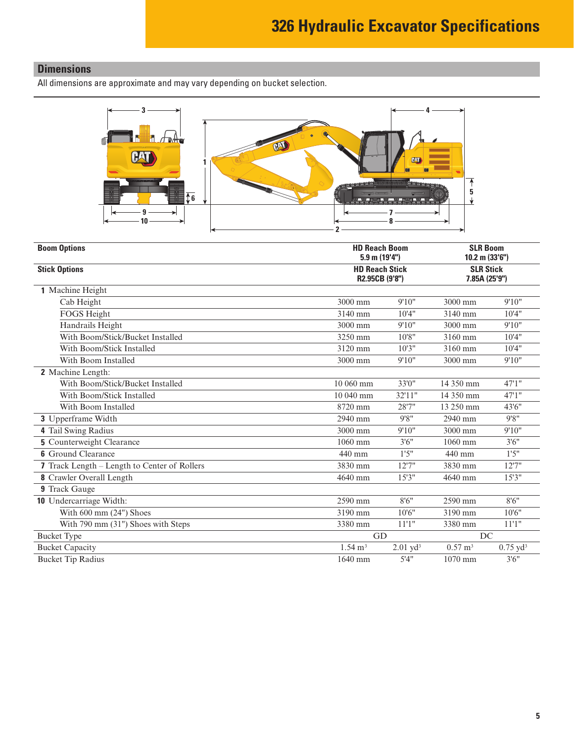# <span id="page-4-0"></span>**Dimensions**

All dimensions are approximate and may vary depending on bucket selection.



| <b>Boom Options</b>                          | <b>HD Reach Boom</b><br>$5.9$ m (19'4") | <b>SLR Boom</b><br>10.2 m (33'6")       |                    |                     |
|----------------------------------------------|-----------------------------------------|-----------------------------------------|--------------------|---------------------|
| <b>Stick Options</b>                         |                                         | <b>HD Reach Stick</b><br>R2.95CB (9'8") |                    |                     |
| 1 Machine Height                             |                                         |                                         |                    |                     |
| Cab Height                                   | 3000 mm                                 | 9'10"                                   | 3000 mm            | 9'10"               |
| <b>FOGS Height</b>                           | 3140 mm                                 | 10'4"                                   | 3140 mm            | 10'4"               |
| Handrails Height                             | 3000 mm                                 | 9'10"                                   | 3000 mm            | 9'10"               |
| With Boom/Stick/Bucket Installed             | 3250 mm                                 | 10'8"                                   | 3160 mm            | 10'4"               |
| With Boom/Stick Installed                    | 3120 mm                                 | 10'3''                                  | 3160 mm            | 10'4"               |
| With Boom Installed                          | 3000 mm                                 | 9'10"                                   | 3000 mm            | 9'10"               |
| 2 Machine Length:                            |                                         |                                         |                    |                     |
| With Boom/Stick/Bucket Installed             | 10 060 mm                               | 33'0"                                   | 14 350 mm          | 47'1''              |
| With Boom/Stick Installed                    | 10 040 mm                               | 32'11"                                  | 14 350 mm          | 47'1''              |
| With Boom Installed                          | 8720 mm                                 | 28'7"                                   | 13 250 mm          | 43'6"               |
| <b>3</b> Upperframe Width                    | 2940 mm                                 | 9'8"                                    | 2940 mm            | 9'8''               |
| 4 Tail Swing Radius                          | 3000 mm                                 | 9'10"                                   | 3000 mm            | 9'10"               |
| <b>5</b> Counterweight Clearance             | 1060 mm                                 | 3'6''                                   | 1060 mm            | 3'6''               |
| <b>6</b> Ground Clearance                    | 440 mm                                  | 1'5''                                   | 440 mm             | 1'5''               |
| 7 Track Length – Length to Center of Rollers | 3830 mm                                 | 12'7''                                  | 3830 mm            | 12'7''              |
| 8 Crawler Overall Length                     | 4640 mm                                 | 15'3''                                  | 4640 mm            | 15'3''              |
| 9 Track Gauge                                |                                         |                                         |                    |                     |
| <b>10</b> Undercarriage Width:               | 2590 mm                                 | 8'6''                                   | 2590 mm            | 8'6''               |
| With $600$ mm $(24")$ Shoes                  | 3190 mm                                 | 10'6''                                  | 3190 mm            | 10'6''              |
| With 790 mm (31") Shoes with Steps           | 3380 mm                                 | 11'1"                                   | 3380 mm            | 11'1"               |
| <b>Bucket Type</b>                           | GD                                      |                                         | DC                 |                     |
| <b>Bucket Capacity</b>                       | $1.54 \text{ m}^3$                      | $2.01$ yd <sup>3</sup>                  | $0.57 \text{ m}^3$ | $0.75 \text{ yd}^3$ |
| <b>Bucket Tip Radius</b>                     | 1640 mm                                 | 5'4''                                   | $1070$ mm          | 3'6''               |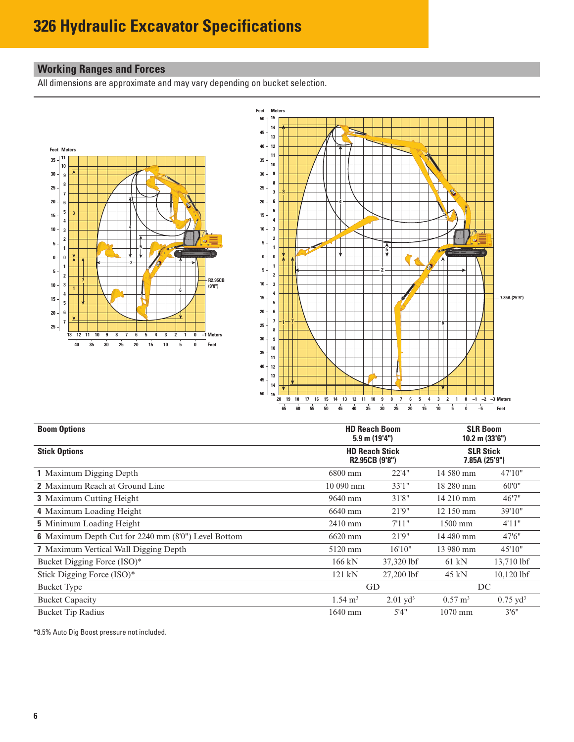# <span id="page-5-0"></span>**Working Ranges and Forces**

All dimensions are approximate and may vary depending on bucket selection.





| <b>Boom Options</b>                                        | <b>HD Reach Boom</b><br>$5.9$ m $(19'4'')$ | <b>SLR Boom</b><br>$10.2$ m $(33'6'')$  |                                   |                     |
|------------------------------------------------------------|--------------------------------------------|-----------------------------------------|-----------------------------------|---------------------|
| <b>Stick Options</b>                                       |                                            | <b>HD Reach Stick</b><br>R2.95CB (9'8") | <b>SLR Stick</b><br>7.85A (25'9") |                     |
| <b>1</b> Maximum Digging Depth                             | 6800 mm                                    | 22'4''                                  | 14 580 mm                         | 47'10"              |
| <b>2</b> Maximum Reach at Ground Line                      | 10 090 mm                                  | 33'1''                                  | 18 280 mm                         | 60'0"               |
| <b>3</b> Maximum Cutting Height                            | $9640 \,\mathrm{mm}$                       | 31'8"                                   | 14 210 mm                         | 46'7"               |
| 4 Maximum Loading Height                                   | 6640 mm                                    | 21'9"                                   | 12 150 mm                         | 39'10"              |
| <b>5</b> Minimum Loading Height                            | 2410 mm                                    | 7'11''                                  | $1500$ mm                         | 4'11''              |
| <b>6</b> Maximum Depth Cut for 2240 mm (8'0") Level Bottom | 6620 mm                                    | 21'9"                                   | 14 480 mm                         | 47'6"               |
| <b>7</b> Maximum Vertical Wall Digging Depth               | 5120 mm                                    | 16'10"                                  | 13 980 mm                         | 45'10"              |
| Bucket Digging Force (ISO)*                                | $166$ kN                                   | 37,320 lbf                              | $61 \text{ kN}$                   | 13,710 lbf          |
| Stick Digging Force (ISO)*                                 | 121 kN                                     | 27,200 lbf                              | $45 \text{ kN}$                   | $10,120$ lbf        |
| <b>Bucket Type</b>                                         |                                            | GD                                      |                                   | DC                  |
| <b>Bucket Capacity</b>                                     | $1.54 \text{ m}^3$                         | $2.01$ yd <sup>3</sup>                  | $0.57 \text{ m}^3$                | $0.75 \text{ yd}^3$ |
| <b>Bucket Tip Radius</b>                                   | 1640 mm                                    | 5'4''                                   | $1070$ mm                         | 3'6''               |

\*8.5% Auto Dig Boost pressure not included.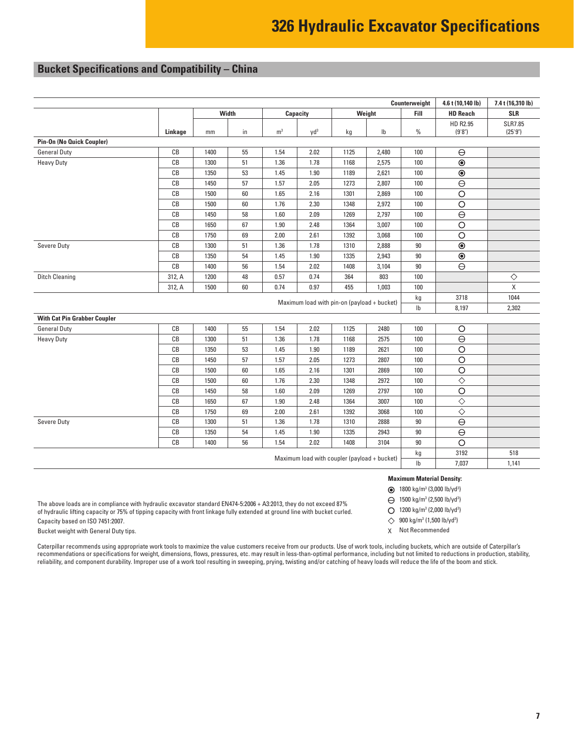# <span id="page-6-0"></span>**Bucket Specifications and Compatibility – China**

|                                              |         |      |       |                |                                             | Counterweight | 4.6 t (10,140 lb) | 7.4 t (16,310 lb) |                     |                |
|----------------------------------------------|---------|------|-------|----------------|---------------------------------------------|---------------|-------------------|-------------------|---------------------|----------------|
|                                              |         |      | Width |                | Capacity                                    |               | Weight            | Fill              | <b>HD Reach</b>     | <b>SLR</b>     |
|                                              |         |      |       |                |                                             |               |                   |                   | HD R2.95            | <b>SLR7.85</b> |
|                                              | Linkage | mm   | in    | m <sup>3</sup> | $yd^3$                                      | kg            | $\mathsf{lb}$     | $\%$              | (9'8")              | (25'9")        |
| Pin-On (No Quick Coupler)                    |         |      |       |                |                                             |               |                   |                   |                     |                |
| <b>General Duty</b>                          | CB      | 1400 | 55    | 1.54           | 2.02                                        | 1125          | 2,480             | 100               | $\ominus$           |                |
| <b>Heavy Duty</b>                            | CB      | 1300 | 51    | 1.36           | 1.78                                        | 1168          | 2,575             | 100               | $\overline{\circ}$  |                |
|                                              | CB      | 1350 | 53    | 1.45           | 1.90                                        | 1189          | 2,621             | 100               | $\overline{\circ}$  |                |
|                                              | CB      | 1450 | 57    | 1.57           | 2.05                                        | 1273          | 2,807             | 100               | $\overline{\Theta}$ |                |
|                                              | CB      | 1500 | 60    | 1.65           | 2.16                                        | 1301          | 2,869             | 100               | $\overline{\circ}$  |                |
|                                              | CB      | 1500 | 60    | 1.76           | 2.30                                        | 1348          | 2,972             | 100               | $\overline{\circ}$  |                |
|                                              | CB      | 1450 | 58    | 1.60           | 2.09                                        | 1269          | 2,797             | 100               | $\overline{\Theta}$ |                |
|                                              | CB      | 1650 | 67    | 1.90           | 2.48                                        | 1364          | 3,007             | 100               | $\overline{\circ}$  |                |
|                                              | CB      | 1750 | 69    | 2.00           | 2.61                                        | 1392          | 3,068             | 100               | $\overline{\circ}$  |                |
| Severe Duty                                  | CB      | 1300 | 51    | 1.36           | 1.78                                        | 1310          | 2,888             | 90                | $\overline{\odot}$  |                |
|                                              | CB      | 1350 | 54    | 1.45           | 1.90                                        | 1335          | 2,943             | $90\,$            | $\circledcirc$      |                |
|                                              | CB      | 1400 | 56    | 1.54           | 2.02                                        | 1408          | 3,104             | $90\,$            | $\overline{\Theta}$ |                |
| <b>Ditch Cleaning</b>                        | 312, A  | 1200 | 48    | 0.57           | 0.74                                        | 364           | 803               | 100               |                     | $\Diamond$     |
|                                              | 312, A  | 1500 | 60    | 0.74           | 0.97                                        | 455           | 1,003             | 100               |                     | X              |
|                                              |         |      |       |                |                                             |               |                   | kg                | 3718                | 1044           |
|                                              |         |      |       |                | Maximum load with pin-on (payload + bucket) |               |                   | $\mathsf{lb}$     | 8,197               | 2,302          |
| <b>With Cat Pin Grabber Coupler</b>          |         |      |       |                |                                             |               |                   |                   |                     |                |
| <b>General Duty</b>                          | CB      | 1400 | 55    | 1.54           | 2.02                                        | 1125          | 2480              | 100               | O                   |                |
| <b>Heavy Duty</b>                            | CB      | 1300 | 51    | 1.36           | 1.78                                        | 1168          | 2575              | 100               | $\ominus$           |                |
|                                              | CB      | 1350 | 53    | 1.45           | 1.90                                        | 1189          | 2621              | 100               | $\overline{\circ}$  |                |
|                                              | CB      | 1450 | 57    | 1.57           | 2.05                                        | 1273          | 2807              | 100               | $\overline{\circ}$  |                |
|                                              | CB      | 1500 | 60    | 1.65           | 2.16                                        | 1301          | 2869              | 100               | $\overline{\circ}$  |                |
|                                              | CB      | 1500 | 60    | 1.76           | 2.30                                        | 1348          | 2972              | 100               | $\Diamond$          |                |
|                                              | CB      | 1450 | 58    | 1.60           | 2.09                                        | 1269          | 2797              | 100               | $\overline{\circ}$  |                |
|                                              | CB      | 1650 | 67    | 1.90           | 2.48                                        | 1364          | 3007              | 100               | $\Diamond$          |                |
|                                              | CB      | 1750 | 69    | 2.00           | 2.61                                        | 1392          | 3068              | 100               | $\overline\diamond$ |                |
| Severe Duty                                  | CB      | 1300 | 51    | 1.36           | 1.78                                        | 1310          | 2888              | $90\,$            | $\overline{\Theta}$ |                |
|                                              | CB      | 1350 | 54    | 1.45           | 1.90                                        | 1335          | 2943              | $90\,$            | $\overline{\Theta}$ |                |
|                                              | CB      | 1400 | 56    | 1.54           | 2.02                                        | 1408          | 3104              | $90\,$            | $\overline{\circ}$  |                |
|                                              |         |      |       |                |                                             |               |                   | kg                | 3192                | 518            |
| Maximum load with coupler (payload + bucket) |         |      |       |                |                                             | $\mathsf{lb}$ | 7,037             | 1,141             |                     |                |
|                                              |         |      |       |                |                                             |               |                   |                   |                     |                |

The above loads are in compliance with hydraulic excavator standard EN474-5:2006 + A3:2013, they do not exceed 87% of hydraulic lifting capacity or 75% of tipping capacity with front linkage fully extended at ground line with bucket curled. Capacity based on ISO 7451:2007.

Bucket weight with General Duty tips.

Caterpillar recommends using appropriate work tools to maximize the value customers receive from our products. Use of work tools, including buckets, which are outside of Caterpillar's recommendations or specifications for weight, dimensions, flows, pressures, etc. may result in less-than-optimal performance, including but not limited to reductions in production, stability, reliability, and component durability. Improper use of a work tool resulting in sweeping, prying, twisting and/or catching of heavy loads will reduce the life of the boom and stick.

#### **Maximum Material Density:**

1800 kg/m3 (3,000 lb/yd3 )

1500 kg/m3 (2,500 lb/yd3 )

1200 kg/m<sup>3</sup> (2,000 lb/yd<sup>3</sup>)

 $\diamondsuit$ 900 kg/m3 (1,500 lb/yd3 )

X Not Recommended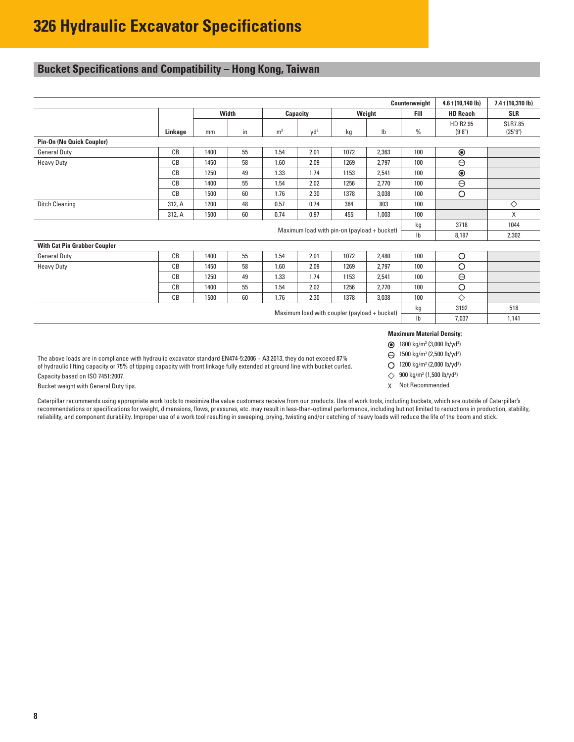# <span id="page-7-0"></span>**Bucket Specifications and Compatibility – Hong Kong, Taiwan**

|                                                                        |         |       |    |                | Counterweight   | 4.6 t (10,140 lb) | 7.4 t (16,310 lb) |                                                             |                    |                           |
|------------------------------------------------------------------------|---------|-------|----|----------------|-----------------|-------------------|-------------------|-------------------------------------------------------------|--------------------|---------------------------|
|                                                                        |         | Width |    |                | Capacity        |                   | Weight            | Fill                                                        | <b>HD Reach</b>    | <b>SLR</b>                |
|                                                                        | Linkage | mm    | in | m <sup>3</sup> | Vd <sup>3</sup> | kg                | Ib                | $\frac{0}{0}$                                               | HD R2.95<br>(9'8") | <b>SLR7.85</b><br>(25'9") |
| Pin-On (No Quick Coupler)                                              |         |       |    |                |                 |                   |                   |                                                             |                    |                           |
| <b>General Duty</b>                                                    | CB      | 1400  | 55 | 1.54           | 2.01            | 1072              | 2,363             | 100                                                         | $\circledcirc$     |                           |
| <b>Heavy Duty</b>                                                      | CB      | 1450  | 58 | 1.60           | 2.09            | 1269              | 2,797             | 100                                                         | $\ominus$          |                           |
|                                                                        | CB      | 1250  | 49 | 1.33           | 1.74            | 1153              | 2,541             | 100                                                         | $\circledcirc$     |                           |
|                                                                        | CB      | 1400  | 55 | 1.54           | 2.02            | 1256              | 2,770             | 100                                                         | $\ominus$          |                           |
|                                                                        | CB      | 1500  | 60 | 1.76           | 2.30            | 1378              | 3,038             | 100                                                         | $\circ$            |                           |
| <b>Ditch Cleaning</b>                                                  | 312, A  | 1200  | 48 | 0.57           | 0.74            | 364               | 803               | 100                                                         |                    | ♦                         |
|                                                                        | 312, A  | 1500  | 60 | 0.74           | 0.97            | 455               | 1,003             | 100                                                         |                    | X                         |
| Maximum load with pin-on (payload + bucket)                            |         |       |    |                |                 | kg                | 3718              | 1044                                                        |                    |                           |
|                                                                        |         |       |    |                |                 |                   |                   | $\mathsf{lb}$                                               | 8,197              | 2,302                     |
| <b>With Cat Pin Grabber Coupler</b>                                    |         |       |    |                |                 |                   |                   |                                                             |                    |                           |
| <b>General Duty</b>                                                    | CB      | 1400  | 55 | 1.54           | 2.01            | 1072              | 2,480             | 100                                                         | $\circ$            |                           |
| <b>Heavy Duty</b>                                                      | CB      | 1450  | 58 | 1.60           | 2.09            | 1269              | 2,797             | 100                                                         | $\circ$            |                           |
|                                                                        | CB      | 1250  | 49 | 1.33           | 1.74            | 1153              | 2,541             | 100                                                         | $\ominus$          |                           |
|                                                                        | CB      | 1400  | 55 | 1.54           | 2.02            | 1256              | 2,770             | 100                                                         | $\circ$            |                           |
|                                                                        | CB      | 1500  | 60 | 1.76           | 2.30            | 1378              | 3,038             | 100                                                         | ♦                  |                           |
| kg                                                                     |         |       |    |                |                 |                   | 3192              | 518                                                         |                    |                           |
| Maximum load with coupler (payload + bucket)<br>$\mathsf{lb}$<br>7,037 |         |       |    |                |                 | 1,141             |                   |                                                             |                    |                           |
|                                                                        |         |       |    |                |                 |                   |                   | <b>Maximum Material Density:</b>                            |                    |                           |
|                                                                        |         |       |    |                |                 |                   |                   | <b>●</b> 1800 kg/m <sup>3</sup> (3,000 lb/yd <sup>3</sup> ) |                    |                           |

The above loads are in compliance with hydraulic excavator standard EN474-5:2006 + A3:2013, they do not exceed 87% of hydraulic lifting capacity or 75% of tipping capacity with front linkage fully extended at ground line with bucket curled. Capacity based on ISO 7451:2007.

Bucket weight with General Duty tips.

Caterpillar recommends using appropriate work tools to maximize the value customers receive from our products. Use of work tools, including buckets, which are outside of Caterpillar's recommendations or specifications for weight, dimensions, flows, pressures, etc. may result in less-than-optimal performance, including but not limited to reductions in production, stability, reliability, and component durability. Improper use of a work tool resulting in sweeping, prying, twisting and/or catching of heavy loads will reduce the life of the boom and stick.

- 
- 1500 kg/m3 (2,500 lb/yd3 )
- 1200 kg/m3 (2,000 lb/yd3 )
- 900 kg/m<sup>3</sup> (1,500 lb/yd<sup>3</sup>)
- X Not Recommended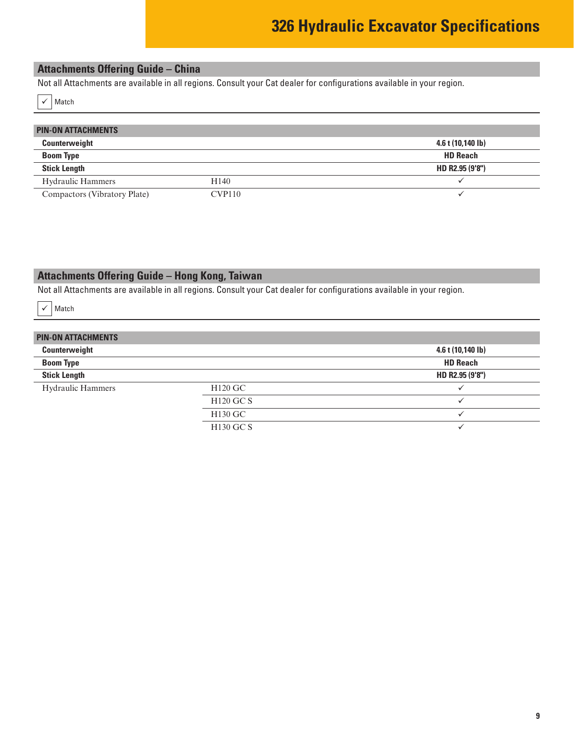# <span id="page-8-0"></span>**Attachments Offering Guide – China**

Not all Attachments are available in all regions. Consult your Cat dealer for configurations available in your region.

 $\checkmark$  Match

| <b>PIN-ON ATTACHMENTS</b>    |                  |                   |
|------------------------------|------------------|-------------------|
| Counterweight                |                  | 4.6 t (10,140 lb) |
| <b>Boom Type</b>             |                  | <b>HD Reach</b>   |
| <b>Stick Length</b>          |                  | HD R2.95 (9'8")   |
| <b>Hydraulic Hammers</b>     | H <sub>140</sub> |                   |
| Compactors (Vibratory Plate) | CVP110           |                   |

# **Attachments Offering Guide – Hong Kong, Taiwan**

Not all Attachments are available in all regions. Consult your Cat dealer for configurations available in your region.

 $\checkmark$  Match

## **PIN-ON ATTACHMENTS Counterweight 4.6 t (10,140 lb) Boom Type HD Reach Stick Length HD R2.95 (9'8")** Hydraulic Hammers H120 GC H120 GC S  $\checkmark$ H130 GC  $\checkmark$ H130 GC S  $\checkmark$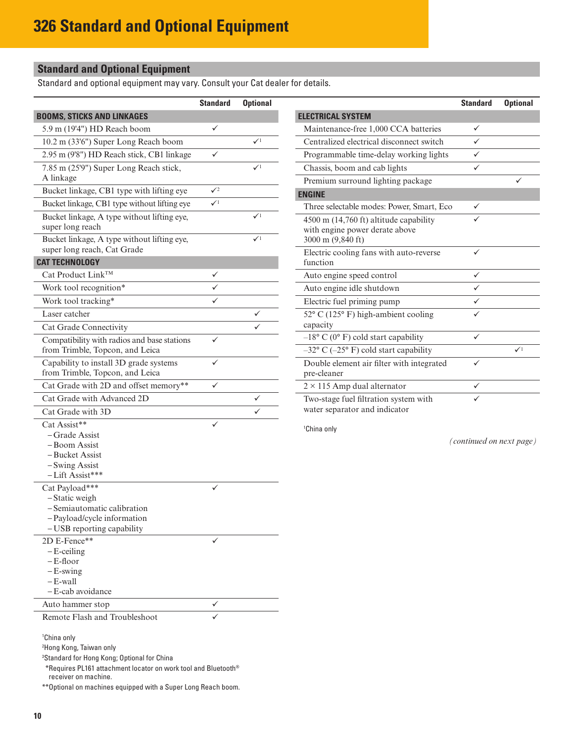# **Standard and Optional Equipment**

Standard and optional equipment may vary. Consult your Cat dealer for details.

|                                                                                | <b>Standard</b> | <b>Optional</b> |
|--------------------------------------------------------------------------------|-----------------|-----------------|
| <b>BOOMS, STICKS AND LINKAGES</b>                                              |                 |                 |
| 5.9 m (19'4") HD Reach boom                                                    | ✓               |                 |
| 10.2 m (33'6") Super Long Reach boom                                           |                 | $\mathcal{N}^1$ |
| 2.95 m (9'8") HD Reach stick, CB1 linkage                                      | ✓               |                 |
| 7.85 m (25'9") Super Long Reach stick,                                         |                 | $\checkmark$    |
| A linkage                                                                      |                 |                 |
| Bucket linkage, CB1 type with lifting eye                                      | $\sqrt{2}$      |                 |
| Bucket linkage, CB1 type without lifting eye                                   | $\mathcal{N}^1$ |                 |
| Bucket linkage, A type without lifting eye,                                    |                 | $\checkmark$    |
| super long reach                                                               |                 |                 |
| Bucket linkage, A type without lifting eye,                                    |                 | $\checkmark$    |
| super long reach, Cat Grade                                                    |                 |                 |
| <b>CAT TECHNOLOGY</b>                                                          |                 |                 |
| Cat Product Link™                                                              |                 |                 |
| Work tool recognition*                                                         |                 |                 |
| Work tool tracking*                                                            |                 |                 |
| Laser catcher                                                                  |                 | ✓               |
| Cat Grade Connectivity                                                         |                 |                 |
| Compatibility with radios and base stations<br>from Trimble, Topcon, and Leica |                 |                 |
| Capability to install 3D grade systems<br>from Trimble, Topcon, and Leica      |                 |                 |
| Cat Grade with 2D and offset memory**                                          |                 |                 |
| Cat Grade with Advanced 2D                                                     |                 |                 |
| Cat Grade with 3D                                                              |                 |                 |
| Cat Assist**                                                                   |                 |                 |
| – Grade Assist                                                                 |                 |                 |
| – Boom Assist                                                                  |                 |                 |
| - Bucket Assist                                                                |                 |                 |
| -Swing Assist<br>-Lift Assist***                                               |                 |                 |
| Cat Payload***                                                                 |                 |                 |
| -Static weigh                                                                  |                 |                 |
| - Semiautomatic calibration                                                    |                 |                 |
| -Payload/cycle information                                                     |                 |                 |
| - USB reporting capability                                                     |                 |                 |
| 2D E-Fence**                                                                   |                 |                 |
| $-E$ -ceiling<br>– E-floor                                                     |                 |                 |
| $-E$ -swing                                                                    |                 |                 |
| $-E$ -wall                                                                     |                 |                 |
| - E-cab avoidance                                                              |                 |                 |
| Auto hammer stop                                                               |                 |                 |
| Remote Flash and Troubleshoot                                                  |                 |                 |
| <sup>1</sup> China only<br><sup>2</sup> Hong Kong, Taiwan only                 |                 |                 |

3 Standard for Hong Kong; Optional for China

\*Requires PL161 attachment locator on work tool and Bluetooth® receiver on machine.

\*\*Optional on machines equipped with a Super Long Reach boom.

|                                                          | <b>Standard</b> | <b>Optional</b> |
|----------------------------------------------------------|-----------------|-----------------|
| <b>ELECTRICAL SYSTEM</b>                                 |                 |                 |
| Maintenance-free 1,000 CCA batteries                     | ✓               |                 |
| Centralized electrical disconnect switch                 | ✓               |                 |
| Programmable time-delay working lights                   | ✓               |                 |
| Chassis, boom and cab lights                             | ✓               |                 |
| Premium surround lighting package                        |                 |                 |
| <b>ENGINE</b>                                            |                 |                 |
| Three selectable modes: Power, Smart, Eco                | ✓               |                 |
| 4500 m (14,760 ft) altitude capability                   |                 |                 |
| with engine power derate above                           |                 |                 |
| 3000 m (9,840 ft)                                        |                 |                 |
| Electric cooling fans with auto-reverse                  | ✓               |                 |
| function                                                 |                 |                 |
| Auto engine speed control                                | ✓               |                 |
| Auto engine idle shutdown                                | ✓               |                 |
| Electric fuel priming pump                               | ✓               |                 |
| 52° C (125° F) high-ambient cooling                      |                 |                 |
| capacity                                                 |                 |                 |
| $-18$ ° C (0° F) cold start capability                   | ✓               |                 |
| $-32^{\circ}$ C ( $-25^{\circ}$ F) cold start capability |                 | $\checkmark$    |
| Double element air filter with integrated                | ✓               |                 |
| pre-cleaner                                              |                 |                 |
| $2 \times 115$ Amp dual alternator                       | ✓               |                 |
| Two-stage fuel filtration system with                    |                 |                 |
| water separator and indicator                            |                 |                 |

1 China only

*(continued on next page)*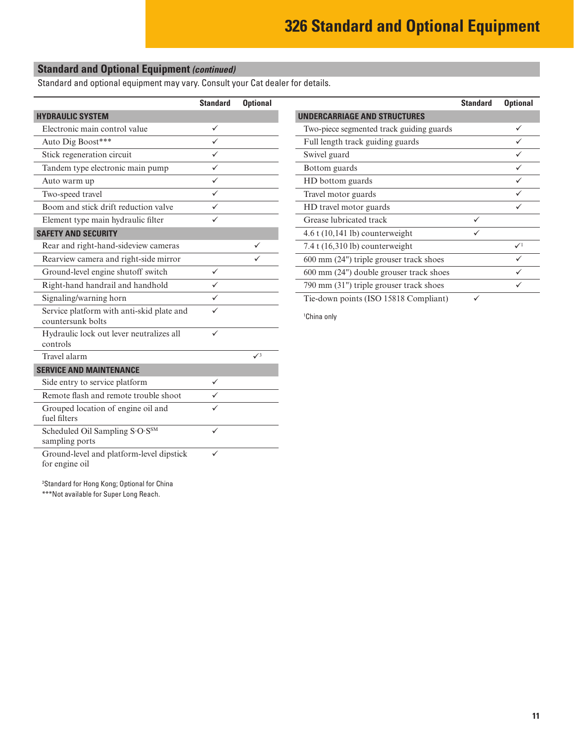# **Standard and Optional Equipment** *(continued)*

Standard and optional equipment may vary. Consult your Cat dealer for details.

|                                                                | <b>Standard</b> | <b>Optional</b> |
|----------------------------------------------------------------|-----------------|-----------------|
| <b>HYDRAULIC SYSTEM</b>                                        |                 |                 |
| Electronic main control value                                  | ✓               |                 |
| Auto Dig Boost***                                              |                 |                 |
| Stick regeneration circuit                                     |                 |                 |
| Tandem type electronic main pump                               |                 |                 |
| Auto warm up                                                   | ✓               |                 |
| Two-speed travel                                               | ✓               |                 |
| Boom and stick drift reduction valve                           |                 |                 |
| Element type main hydraulic filter                             |                 |                 |
| <b>SAFETY AND SECURITY</b>                                     |                 |                 |
| Rear and right-hand-sideview cameras                           |                 |                 |
| Rearview camera and right-side mirror                          |                 |                 |
| Ground-level engine shutoff switch                             | ✓               |                 |
| Right-hand handrail and handhold                               |                 |                 |
| Signaling/warning horn                                         |                 |                 |
| Service platform with anti-skid plate and<br>countersunk bolts |                 |                 |
| Hydraulic lock out lever neutralizes all<br>controls           | ✓               |                 |
| Travel alarm                                                   |                 | $\sqrt{3}$      |
| <b>SERVICE AND MAINTENANCE</b>                                 |                 |                 |
| Side entry to service platform                                 |                 |                 |
| Remote flash and remote trouble shoot                          |                 |                 |
| Grouped location of engine oil and<br>fuel filters             |                 |                 |
| Scheduled Oil Sampling S.O.SSM<br>sampling ports               |                 |                 |
| Ground-level and platform-level dipstick<br>for engine oil     |                 |                 |

|                                                   | <b>Standard</b> | <b>Optional</b> |
|---------------------------------------------------|-----------------|-----------------|
| <b>UNDERCARRIAGE AND STRUCTURES</b>               |                 |                 |
| Two-piece segmented track guiding guards          |                 |                 |
| Full length track guiding guards                  |                 |                 |
| Swivel guard                                      |                 |                 |
| Bottom guards                                     |                 |                 |
| HD bottom guards                                  |                 | ✓               |
| Travel motor guards                               |                 |                 |
| HD travel motor guards                            |                 |                 |
| Grease lubricated track                           | ✓               |                 |
| $4.6$ t $(10,141$ lb) counterweight               |                 |                 |
| $7.4$ t (16,310 lb) counterweight                 |                 | $\checkmark$    |
| $600 \text{ mm}$ (24") triple grouser track shoes |                 |                 |
| 600 mm (24") double grouser track shoes           |                 | ✓               |
| 790 mm (31") triple grouser track shoes           |                 |                 |
| Tie-down points (ISO 15818 Compliant)             |                 |                 |

1 China only

3 Standard for Hong Kong; Optional for China \*\*\*Not available for Super Long Reach.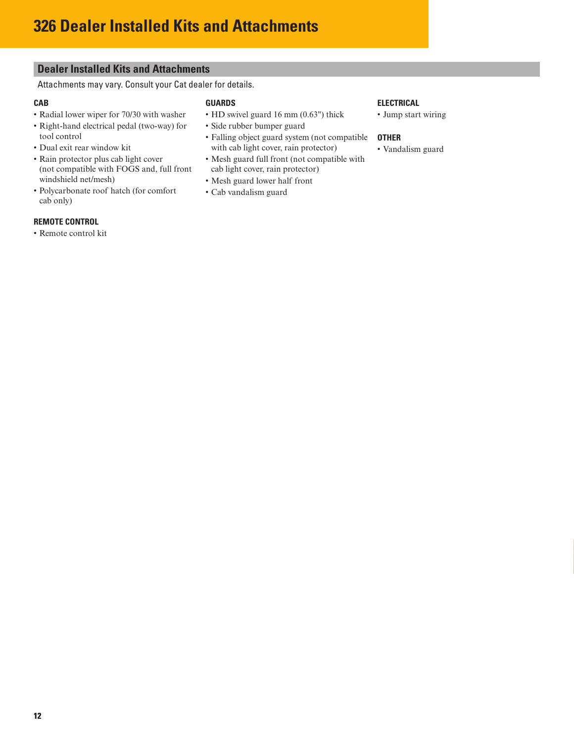## <span id="page-11-0"></span>**Dealer Installed Kits and Attachments**

Attachments may vary. Consult your Cat dealer for details.

## **CAB**

- Radial lower wiper for 70/30 with washer
- Right-hand electrical pedal (two-way) for tool control
- Dual exit rear window kit
- Rain protector plus cab light cover (not compatible with FOGS and, full front windshield net/mesh)
- Polycarbonate roof hatch (for comfort cab only)

## **REMOTE CONTROL**

• Remote control kit

## **GUARDS**

- HD swivel guard 16 mm (0.63") thick
- Side rubber bumper guard
- Falling object guard system (not compatible with cab light cover, rain protector)
- Mesh guard full front (not compatible with cab light cover, rain protector)
- Mesh guard lower half front
- Cab vandalism guard

## **ELECTRICAL**

• Jump start wiring

## **OTHER**

• Vandalism guard